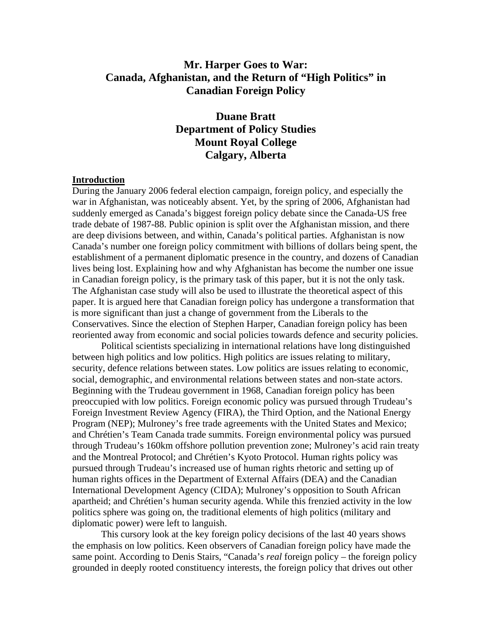# **Mr. Harper Goes to War: Canada, Afghanistan, and the Return of "High Politics" in Canadian Foreign Policy**

# **Duane Bratt Department of Policy Studies Mount Royal College Calgary, Alberta**

#### **Introduction**

During the January 2006 federal election campaign, foreign policy, and especially the war in Afghanistan, was noticeably absent. Yet, by the spring of 2006, Afghanistan had suddenly emerged as Canada's biggest foreign policy debate since the Canada-US free trade debate of 1987-88. Public opinion is split over the Afghanistan mission, and there are deep divisions between, and within, Canada's political parties. Afghanistan is now Canada's number one foreign policy commitment with billions of dollars being spent, the establishment of a permanent diplomatic presence in the country, and dozens of Canadian lives being lost. Explaining how and why Afghanistan has become the number one issue in Canadian foreign policy, is the primary task of this paper, but it is not the only task. The Afghanistan case study will also be used to illustrate the theoretical aspect of this paper. It is argued here that Canadian foreign policy has undergone a transformation that is more significant than just a change of government from the Liberals to the Conservatives. Since the election of Stephen Harper, Canadian foreign policy has been reoriented away from economic and social policies towards defence and security policies.

 Political scientists specializing in international relations have long distinguished between high politics and low politics. High politics are issues relating to military, security, defence relations between states. Low politics are issues relating to economic, social, demographic, and environmental relations between states and non-state actors. Beginning with the Trudeau government in 1968, Canadian foreign policy has been preoccupied with low politics. Foreign economic policy was pursued through Trudeau's Foreign Investment Review Agency (FIRA), the Third Option, and the National Energy Program (NEP); Mulroney's free trade agreements with the United States and Mexico; and Chrétien's Team Canada trade summits. Foreign environmental policy was pursued through Trudeau's 160km offshore pollution prevention zone; Mulroney's acid rain treaty and the Montreal Protocol; and Chrétien's Kyoto Protocol. Human rights policy was pursued through Trudeau's increased use of human rights rhetoric and setting up of human rights offices in the Department of External Affairs (DEA) and the Canadian International Development Agency (CIDA); Mulroney's opposition to South African apartheid; and Chrétien's human security agenda. While this frenzied activity in the low politics sphere was going on, the traditional elements of high politics (military and diplomatic power) were left to languish.

This cursory look at the key foreign policy decisions of the last 40 years shows the emphasis on low politics. Keen observers of Canadian foreign policy have made the same point. According to Denis Stairs, "Canada's *real* foreign policy – the foreign policy grounded in deeply rooted constituency interests, the foreign policy that drives out other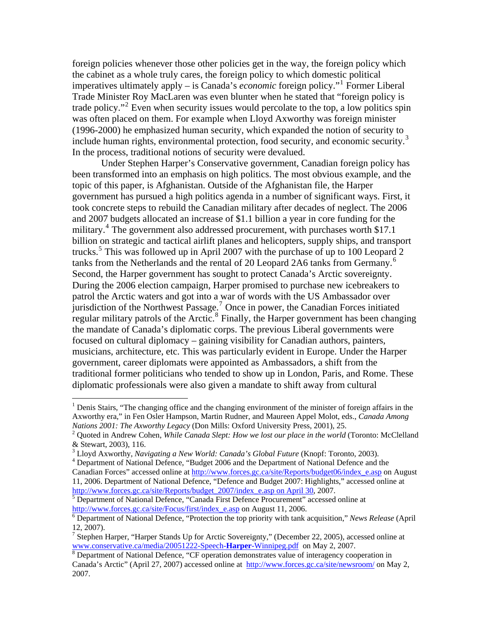foreign policies whenever those other policies get in the way, the foreign policy which the cabinet as a whole truly cares, the foreign policy to which domestic political imperatives ultimately apply – is Canada's *economic* foreign policy."[1](#page-1-0) Former Liberal Trade Minister Roy MacLaren was even blunter when he stated that "foreign policy is trade policy."<sup>[2](#page-1-1)</sup> Even when security issues would percolate to the top, a low politics spin was often placed on them. For example when Lloyd Axworthy was foreign minister (1996-2000) he emphasized human security, which expanded the notion of security to include human rights, environmental protection, food security, and economic security.<sup>[3](#page-1-2)</sup> In the process, traditional notions of security were devalued.

 Under Stephen Harper's Conservative government, Canadian foreign policy has been transformed into an emphasis on high politics. The most obvious example, and the topic of this paper, is Afghanistan. Outside of the Afghanistan file, the Harper government has pursued a high politics agenda in a number of significant ways. First, it took concrete steps to rebuild the Canadian military after decades of neglect. The 2006 and 2007 budgets allocated an increase of \$1.1 billion a year in core funding for the military.<sup>[4](#page-1-3)</sup> The government also addressed procurement, with purchases worth \$17.1 billion on strategic and tactical airlift planes and helicopters, supply ships, and transport trucks.<sup>[5](#page-1-4)</sup> This was followed up in April 2007 with the purchase of up to 100 Leopard 2 tanks from the Netherlands and the rental of 20 Leopard 2A[6](#page-1-5) tanks from Germany.<sup>6</sup> Second, the Harper government has sought to protect Canada's Arctic sovereignty. During the 2006 election campaign, Harper promised to purchase new icebreakers to patrol the Arctic waters and got into a war of words with the US Ambassador over  $\frac{1}{2}$ jurisdiction of the Northwest Passage.<sup>[7](#page-1-6)</sup> Once in power, the Canadian Forces initiated regular military patrols of the Arctic.<sup>[8](#page-1-7)</sup> Finally, the Harper government has been changing the mandate of Canada's diplomatic corps. The previous Liberal governments were focused on cultural diplomacy – gaining visibility for Canadian authors, painters, musicians, architecture, etc. This was particularly evident in Europe. Under the Harper government, career diplomats were appointed as Ambassadors, a shift from the traditional former politicians who tended to show up in London, Paris, and Rome. These diplomatic professionals were also given a mandate to shift away from cultural

 $\overline{a}$ 

<span id="page-1-4"></span><sup>5</sup> Department of National Defence, "Canada First Defence Procurement" accessed online at [http://www.forces.gc.ca/site/Focus/first/index\\_e.asp](http://www.forces.gc.ca/site/Focus/first/index_e.asp) on August 11, 200[6](http://www.forces.gc.ca/site/Focus/first/index_e.asp).

<span id="page-1-0"></span><sup>&</sup>lt;sup>1</sup> Denis Stairs, "The changing office and the changing environment of the minister of foreign affairs in the Axworthy era," in Fen Osler Hampson, Martin Rudner, and Maureen Appel Molot, eds., *Canada Among Nations 2001: The Axworthy Legacy* (Don Mills: Oxford University Press, 2001), 25. 2

<span id="page-1-1"></span><sup>&</sup>lt;sup>2</sup> Quoted in Andrew Cohen, *While Canada Slept: How we lost our place in the world* (Toronto: McClelland & Stewart, 2003), 116.

<span id="page-1-2"></span><sup>&</sup>lt;sup>3</sup> Lloyd Axworthy, *Navigating a New World: Canada's Global Future* (Knopf: Toronto, 2003).<br><sup>4</sup> Department of National Defense, "Budget 2006 and the Department of National Defense and t

<span id="page-1-3"></span>Department of National Defence, "Budget 2006 and the Department of National Defence and the Canadian Forces" accessed online at [http://www.forces.gc.ca/site/Reports/budget06/index\\_e.asp](http://www.forces.gc.ca/site/Reports/budget06/index_e.asp) on August

<sup>11, 2006.</sup> Department of National Defence, "Defence and Budget 2007: Highlights," accessed online at [http://www.forces.gc.ca/site/Reports/budget\\_2007/index\\_e.asp on April 30](http://www.forces.gc.ca/site/Reports/budget_2007/index_e.asp%20on%20April%2030), 2007.

<span id="page-1-5"></span>Department of National Defence, "Protection the top priority with tank acquisition," *News Release* (April 12, 2007).

<span id="page-1-6"></span><sup>&</sup>lt;sup>7</sup> Stephen Harper, "Harper Stands Up for Arctic Sovereignty," (December 22, 2005), accessed online at www.conservative.ca/media/20051222-Speech-**Harper**[-Winnipeg.pdf](http://www.conservative.ca/media/20051222-Speech-Harper-Winnipeg.pdf) on May 2, 2007. [8](http://www.conservative.ca/media/20051222-Speech-Harper-Winnipeg.pdf)

<span id="page-1-7"></span><sup>&</sup>lt;sup>8</sup> Department of National Defence, "CF operation demonstrates value of interagency cooperation in Canada's Arctic" (April 27, 2007) accessed online at <http://www.forces.gc.ca/site/newsroom/> on May 2, 2007.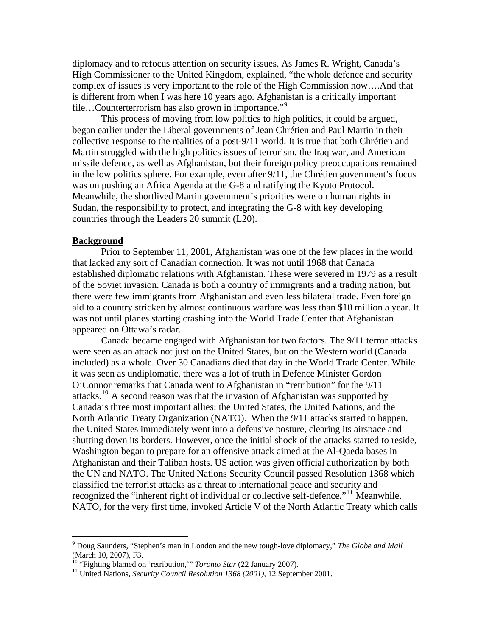diplomacy and to refocus attention on security issues. As James R. Wright, Canada's High Commissioner to the United Kingdom, explained, "the whole defence and security complex of issues is very important to the role of the High Commission now….And that is different from when I was here 10 years ago. Afghanistan is a critically important file…Counterterrorism has also grown in importance."<sup>[9](#page-2-0)</sup>

This process of moving from low politics to high politics, it could be argued, began earlier under the Liberal governments of Jean Chrétien and Paul Martin in their collective response to the realities of a post-9/11 world. It is true that both Chrétien and Martin struggled with the high politics issues of terrorism, the Iraq war, and American missile defence, as well as Afghanistan, but their foreign policy preoccupations remained in the low politics sphere. For example, even after 9/11, the Chrétien government's focus was on pushing an Africa Agenda at the G-8 and ratifying the Kyoto Protocol. Meanwhile, the shortlived Martin government's priorities were on human rights in Sudan, the responsibility to protect, and integrating the G-8 with key developing countries through the Leaders 20 summit (L20).

#### **Background**

 $\overline{a}$ 

 Prior to September 11, 2001, Afghanistan was one of the few places in the world that lacked any sort of Canadian connection. It was not until 1968 that Canada established diplomatic relations with Afghanistan. These were severed in 1979 as a result of the Soviet invasion. Canada is both a country of immigrants and a trading nation, but there were few immigrants from Afghanistan and even less bilateral trade. Even foreign aid to a country stricken by almost continuous warfare was less than \$10 million a year. It was not until planes starting crashing into the World Trade Center that Afghanistan appeared on Ottawa's radar.

 Canada became engaged with Afghanistan for two factors. The 9/11 terror attacks were seen as an attack not just on the United States, but on the Western world (Canada included) as a whole. Over 30 Canadians died that day in the World Trade Center. While it was seen as undiplomatic, there was a lot of truth in Defence Minister Gordon O'Connor remarks that Canada went to Afghanistan in "retribution" for the 9/11 attacks.[10](#page-2-1) A second reason was that the invasion of Afghanistan was supported by Canada's three most important allies: the United States, the United Nations, and the North Atlantic Treaty Organization (NATO). When the 9/11 attacks started to happen, the United States immediately went into a defensive posture, clearing its airspace and shutting down its borders. However, once the initial shock of the attacks started to reside, Washington began to prepare for an offensive attack aimed at the Al-Qaeda bases in Afghanistan and their Taliban hosts. US action was given official authorization by both the UN and NATO. The United Nations Security Council passed Resolution 1368 which classified the terrorist attacks as a threat to international peace and security and recognized the "inherent right of individual or collective self-defence."<sup>[11](#page-2-2)</sup> Meanwhile, NATO, for the very first time, invoked Article V of the North Atlantic Treaty which calls

<span id="page-2-0"></span><sup>9</sup> Doug Saunders, "Stephen's man in London and the new tough-love diplomacy," *The Globe and Mail* (March 10, 2007), F3.<br><sup>10</sup> "Fighting blamed on 'retribution," *Toronto Star* (22 January 2007).

<span id="page-2-2"></span><span id="page-2-1"></span><sup>&</sup>lt;sup>11</sup> United Nations, *Security Council Resolution 1368 (2001)*, 12 September 2001.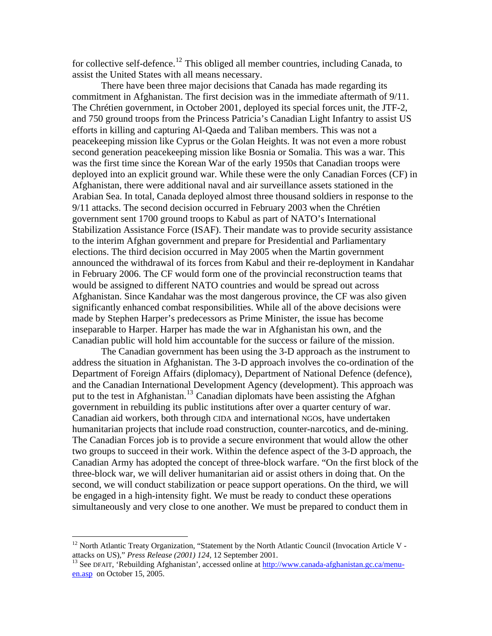for collective self-defence.<sup>[12](#page-3-0)</sup> This obliged all member countries, including Canada, to assist the United States with all means necessary.

There have been three major decisions that Canada has made regarding its commitment in Afghanistan. The first decision was in the immediate aftermath of 9/11. The Chrétien government, in October 2001, deployed its special forces unit, the JTF-2, and 750 ground troops from the Princess Patricia's Canadian Light Infantry to assist US efforts in killing and capturing Al-Qaeda and Taliban members. This was not a peacekeeping mission like Cyprus or the Golan Heights. It was not even a more robust second generation peacekeeping mission like Bosnia or Somalia. This was a war. This was the first time since the Korean War of the early 1950s that Canadian troops were deployed into an explicit ground war. While these were the only Canadian Forces (CF) in Afghanistan, there were additional naval and air surveillance assets stationed in the Arabian Sea. In total, Canada deployed almost three thousand soldiers in response to the 9/11 attacks. The second decision occurred in February 2003 when the Chrétien government sent 1700 ground troops to Kabul as part of NATO's International Stabilization Assistance Force (ISAF). Their mandate was to provide security assistance to the interim Afghan government and prepare for Presidential and Parliamentary elections. The third decision occurred in May 2005 when the Martin government announced the withdrawal of its forces from Kabul and their re-deployment in Kandahar in February 2006. The CF would form one of the provincial reconstruction teams that would be assigned to different NATO countries and would be spread out across Afghanistan. Since Kandahar was the most dangerous province, the CF was also given significantly enhanced combat responsibilities. While all of the above decisions were made by Stephen Harper's predecessors as Prime Minister, the issue has become inseparable to Harper. Harper has made the war in Afghanistan his own, and the Canadian public will hold him accountable for the success or failure of the mission.

 The Canadian government has been using the 3-D approach as the instrument to address the situation in Afghanistan. The 3-D approach involves the co-ordination of the Department of Foreign Affairs (diplomacy), Department of National Defence (defence), and the Canadian International Development Agency (development). This approach was put to the test in Afghanistan.[13](#page-3-1) Canadian diplomats have been assisting the Afghan government in rebuilding its public institutions after over a quarter century of war. Canadian aid workers, both through CIDA and international NGOs, have undertaken humanitarian projects that include road construction, counter-narcotics, and de-mining. The Canadian Forces job is to provide a secure environment that would allow the other two groups to succeed in their work. Within the defence aspect of the 3-D approach, the Canadian Army has adopted the concept of three-block warfare. "On the first block of the three-block war, we will deliver humanitarian aid or assist others in doing that. On the second, we will conduct stabilization or peace support operations. On the third, we will be engaged in a high-intensity fight. We must be ready to conduct these operations simultaneously and very close to one another. We must be prepared to conduct them in

<span id="page-3-0"></span> $12$  North Atlantic Treaty Organization, "Statement by the North Atlantic Council (Invocation Article V attacks on US)," *Press Release (2001) 124, 12 September 2001*.<br><sup>13</sup> See DFAIT, 'Rebuilding Afghanistan', accessed online at [http://www.canada-afghanistan.gc.ca/menu-](http://www.canada-afghanistan.gc.ca/menu-en.asp)

<span id="page-3-1"></span>[en.asp](http://www.canada-afghanistan.gc.ca/menu-en.asp) on October 15, 2005.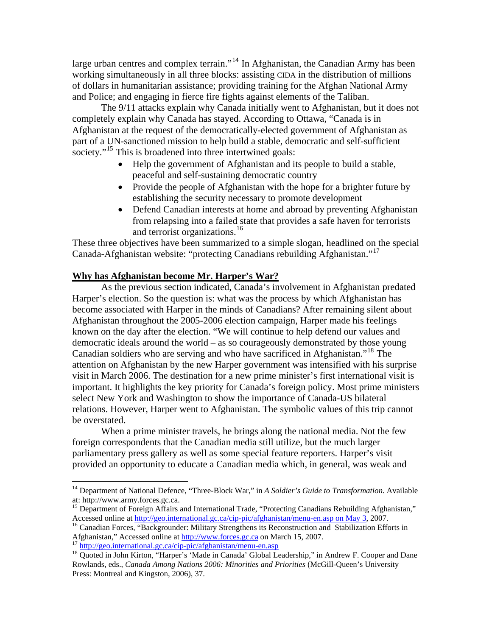large urban centres and complex terrain."<sup>[14](#page-4-0)</sup> In Afghanistan, the Canadian Army has been working simultaneously in all three blocks: assisting CIDA in the distribution of millions of dollars in humanitarian assistance; providing training for the Afghan National Army and Police; and engaging in fierce fire fights against elements of the Taliban.

 The 9/11 attacks explain why Canada initially went to Afghanistan, but it does not completely explain why Canada has stayed. According to Ottawa, "Canada is in Afghanistan at the request of the democratically-elected government of Afghanistan as part of a UN-sanctioned mission to help build a stable, democratic and self-sufficient society."<sup>[15](#page-4-1)</sup> This is broadened into three intertwined goals:

- Help the government of Afghanistan and its people to build a stable, peaceful and self-sustaining democratic country
- Provide the people of Afghanistan with the hope for a brighter future by establishing the security necessary to promote development
- Defend Canadian interests at home and abroad by preventing Afghanistan from relapsing into a failed state that provides a safe haven for terrorists and terrorist organizations.<sup>[16](#page-4-2)</sup>

These three objectives have been summarized to a simple slogan, headlined on the special Canada-Afghanistan website: "protecting Canadians rebuilding Afghanistan."[17](#page-4-3)

## **Why has Afghanistan become Mr. Harper's War?**

As the previous section indicated, Canada's involvement in Afghanistan predated Harper's election. So the question is: what was the process by which Afghanistan has become associated with Harper in the minds of Canadians? After remaining silent about Afghanistan throughout the 2005-2006 election campaign, Harper made his feelings known on the day after the election. "We will continue to help defend our values and democratic ideals around the world – as so courageously demonstrated by those young Canadian soldiers who are serving and who have sacrificed in Afghanistan."[18](#page-4-4) The attention on Afghanistan by the new Harper government was intensified with his surprise visit in March 2006. The destination for a new prime minister's first international visit is important. It highlights the key priority for Canada's foreign policy. Most prime ministers select New York and Washington to show the importance of Canada-US bilateral relations. However, Harper went to Afghanistan. The symbolic values of this trip cannot be overstated.

 When a prime minister travels, he brings along the national media. Not the few foreign correspondents that the Canadian media still utilize, but the much larger parliamentary press gallery as well as some special feature reporters. Harper's visit provided an opportunity to educate a Canadian media which, in general, was weak and

<span id="page-4-0"></span><sup>&</sup>lt;sup>14</sup> Department of National Defence, "Three-Block War," in *A Soldier's Guide to Transformation*. Available at: http://www.army.forces.gc.ca.

<span id="page-4-1"></span><sup>&</sup>lt;sup>15</sup> Department of Foreign Affairs and International Trade, "Protecting Canadians Rebuilding Afghanistan,"<br>Accessed online at  $\frac{http://geo.international.gc.ca/cip-pic/afghanistan/menu-enasp on May 3,2007.$ 

<span id="page-4-2"></span><sup>&</sup>lt;sup>16</sup> Canadian Forces, "Backgrounder: Military Strengthens its Reconstruction and Stabilization Efforts in Afghanistan," Accessed online at  $\frac{http://www.forcesgc.ca}{http://www.forcesgc.ca}$  on March 15, 2007.

<span id="page-4-4"></span><span id="page-4-3"></span> $^{17}$  http://geo.international.gc.ca/cip-pic/afghanistan/menu-en.asp<br> $^{18}$  Quoted in John Kirton, "Harper's 'Made in Canada' Global Leadership," in Andrew F. Cooper and Dane Rowlands, eds., *Canada Among Nations 2006: Minorities and Priorities* (McGill-Queen's University Press: Montreal and Kingston, 2006), 37.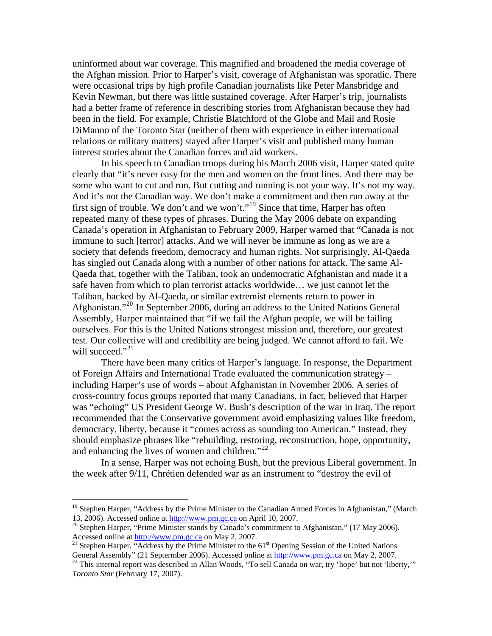uninformed about war coverage. This magnified and broadened the media coverage of the Afghan mission. Prior to Harper's visit, coverage of Afghanistan was sporadic. There were occasional trips by high profile Canadian journalists like Peter Mansbridge and Kevin Newman, but there was little sustained coverage. After Harper's trip, journalists had a better frame of reference in describing stories from Afghanistan because they had been in the field. For example, Christie Blatchford of the Globe and Mail and Rosie DiManno of the Toronto Star (neither of them with experience in either international relations or military matters) stayed after Harper's visit and published many human interest stories about the Canadian forces and aid workers.

In his speech to Canadian troops during his March 2006 visit, Harper stated quite clearly that "it's never easy for the men and women on the front lines. And there may be some who want to cut and run. But cutting and running is not your way. It's not my way. And it's not the Canadian way. We don't make a commitment and then run away at the first sign of trouble. We don't and we won't."<sup>[19](#page-5-0)</sup> Since that time, Harper has often repeated many of these types of phrases. During the May 2006 debate on expanding Canada's operation in Afghanistan to February 2009, Harper warned that "Canada is not immune to such [terror] attacks. And we will never be immune as long as we are a society that defends freedom, democracy and human rights. Not surprisingly, Al-Qaeda has singled out Canada along with a number of other nations for attack. The same Al-Qaeda that, together with the Taliban, took an undemocratic Afghanistan and made it a safe haven from which to plan terrorist attacks worldwide… we just cannot let the Taliban, backed by Al-Qaeda, or similar extremist elements return to power in Afghanistan."<sup>[20](#page-5-1)</sup> In September 2006, during an address to the United Nations General Assembly, Harper maintained that "if we fail the Afghan people, we will be failing ourselves. For this is the United Nations strongest mission and, therefore, our greatest test. Our collective will and credibility are being judged. We cannot afford to fail. We will succeed."<sup>[21](#page-5-2)</sup>

There have been many critics of Harper's language. In response, the Department of Foreign Affairs and International Trade evaluated the communication strategy – including Harper's use of words – about Afghanistan in November 2006. A series of cross-country focus groups reported that many Canadians, in fact, believed that Harper was "echoing" US President George W. Bush's description of the war in Iraq. The report recommended that the Conservative government avoid emphasizing values like freedom, democracy, liberty, because it "comes across as sounding too American." Instead, they should emphasize phrases like "rebuilding, restoring, reconstruction, hope, opportunity, and enhancing the lives of women and children."<sup>[22](#page-5-3)</sup>

In a sense, Harper was not echoing Bush, but the previous Liberal government. In the week after 9/11, Chrétien defended war as an instrument to "destroy the evil of

<span id="page-5-0"></span><sup>&</sup>lt;sup>19</sup> Stephen Harper, "Address by the Prime Minister to the Canadian Armed Forces in Afghanistan," (March 13, 2006). Accessed online at  $\frac{http://www.pm.gc.ca}{http://www.pm.gc.ca}$  on April 10, 2007.

<span id="page-5-1"></span><sup>&</sup>lt;sup>20</sup> Stephen Harper, "Prime Minister stands by Canada's commitment to Afghanistan," (17 May 2006).

<span id="page-5-2"></span>Accessed online at  $\frac{http://www.pm.gc.ca}{http://www.pm.gc.ca)}$  on May 2, 2007.<br><sup>21</sup> Stephen Harper, "Address by the Prime Minister to the 61<sup>st</sup> Opening Session of the United Nations General Assembly" (21 Septermber 2006). Accessed online at

<span id="page-5-3"></span> $\frac{22}{2}$  This internal report was described in Allan Woods, "To sell Canada on war, try 'hope' but not 'liberty,'" *Toronto Star* (February 17, 2007).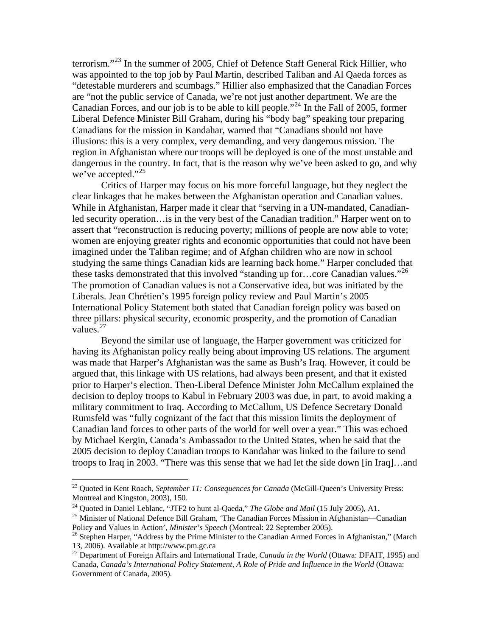terrorism."[23](#page-6-0) In the summer of 2005, Chief of Defence Staff General Rick Hillier, who was appointed to the top job by Paul Martin, described Taliban and Al Qaeda forces as "detestable murderers and scumbags." Hillier also emphasized that the Canadian Forces are "not the public service of Canada, we're not just another department. We are the Canadian Forces, and our job is to be able to kill people."<sup>[24](#page-6-1)</sup> In the Fall of 2005, former Liberal Defence Minister Bill Graham, during his "body bag" speaking tour preparing Canadians for the mission in Kandahar, warned that "Canadians should not have illusions: this is a very complex, very demanding, and very dangerous mission. The region in Afghanistan where our troops will be deployed is one of the most unstable and dangerous in the country. In fact, that is the reason why we've been asked to go, and why we've accepted."<sup>[25](#page-6-2)</sup>

Critics of Harper may focus on his more forceful language, but they neglect the clear linkages that he makes between the Afghanistan operation and Canadian values. While in Afghanistan, Harper made it clear that "serving in a UN-mandated, Canadianled security operation…is in the very best of the Canadian tradition." Harper went on to assert that "reconstruction is reducing poverty; millions of people are now able to vote; women are enjoying greater rights and economic opportunities that could not have been imagined under the Taliban regime; and of Afghan children who are now in school studying the same things Canadian kids are learning back home." Harper concluded that these tasks demonstrated that this involved "standing up for...core Canadian values."<sup>[26](#page-6-3)</sup> The promotion of Canadian values is not a Conservative idea, but was initiated by the Liberals. Jean Chrétien's 1995 foreign policy review and Paul Martin's 2005 International Policy Statement both stated that Canadian foreign policy was based on three pillars: physical security, economic prosperity, and the promotion of Canadian values.[27](#page-6-4)

Beyond the similar use of language, the Harper government was criticized for having its Afghanistan policy really being about improving US relations. The argument was made that Harper's Afghanistan was the same as Bush's Iraq. However, it could be argued that, this linkage with US relations, had always been present, and that it existed prior to Harper's election. Then-Liberal Defence Minister John McCallum explained the decision to deploy troops to Kabul in February 2003 was due, in part, to avoid making a military commitment to Iraq. According to McCallum, US Defence Secretary Donald Rumsfeld was "fully cognizant of the fact that this mission limits the deployment of Canadian land forces to other parts of the world for well over a year." This was echoed by Michael Kergin, Canada's Ambassador to the United States, when he said that the 2005 decision to deploy Canadian troops to Kandahar was linked to the failure to send troops to Iraq in 2003. "There was this sense that we had let the side down [in Iraq]…and

<span id="page-6-0"></span><sup>23</sup> Quoted in Kent Roach, *September 11: Consequences for Canada* (McGill-Queen's University Press: Montreal and Kingston, 2003), 150.

<span id="page-6-2"></span>

<span id="page-6-1"></span><sup>&</sup>lt;sup>24</sup> Quoted in Daniel Leblanc, "JTF2 to hunt al-Qaeda," *The Globe and Mail* (15 July 2005), A1.<br><sup>25</sup> Minister of National Defence Bill Graham, 'The Canadian Forces Mission in Afghanistan—Canadian Policy and Values in Acti

<span id="page-6-3"></span><sup>&</sup>lt;sup>26</sup> Stephen Harper, "Address by the Prime Minister to the Canadian Armed Forces in Afghanistan," (March 13, 2006). Available at http://www.pm.gc.ca

<span id="page-6-4"></span><sup>27</sup> Department of Foreign Affairs and International Trade, *Canada in the World* (Ottawa: DFAIT, 1995) and Canada, *Canada's International Policy Statement, A Role of Pride and Influence in the World* (Ottawa: Government of Canada, 2005).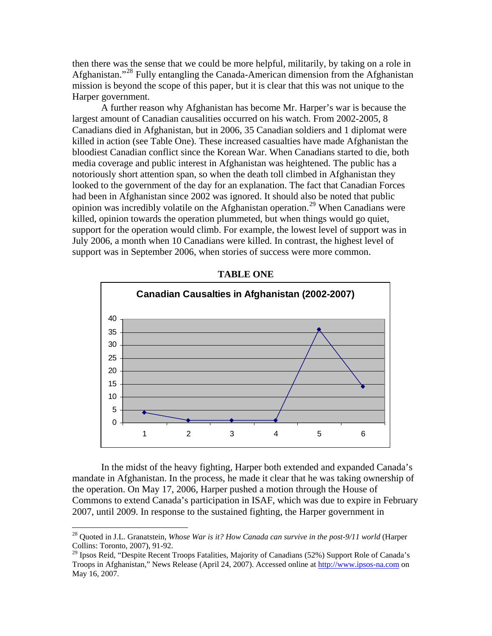then there was the sense that we could be more helpful, militarily, by taking on a role in Afghanistan."[28](#page-7-0) Fully entangling the Canada-American dimension from the Afghanistan mission is beyond the scope of this paper, but it is clear that this was not unique to the Harper government.

 A further reason why Afghanistan has become Mr. Harper's war is because the largest amount of Canadian causalities occurred on his watch. From 2002-2005, 8 Canadians died in Afghanistan, but in 2006, 35 Canadian soldiers and 1 diplomat were killed in action (see Table One). These increased casualties have made Afghanistan the bloodiest Canadian conflict since the Korean War. When Canadians started to die, both media coverage and public interest in Afghanistan was heightened. The public has a notoriously short attention span, so when the death toll climbed in Afghanistan they looked to the government of the day for an explanation. The fact that Canadian Forces had been in Afghanistan since 2002 was ignored. It should also be noted that public opinion was incredibly volatile on the Afghanistan operation.<sup>[29](#page-7-1)</sup> When Canadians were killed, opinion towards the operation plummeted, but when things would go quiet, support for the operation would climb. For example, the lowest level of support was in July 2006, a month when 10 Canadians were killed. In contrast, the highest level of support was in September 2006, when stories of success were more common.



**TABLE ONE** 

In the midst of the heavy fighting, Harper both extended and expanded Canada's mandate in Afghanistan. In the process, he made it clear that he was taking ownership of the operation. On May 17, 2006, Harper pushed a motion through the House of Commons to extend Canada's participation in ISAF, which was due to expire in February 2007, until 2009. In response to the sustained fighting, the Harper government in

<span id="page-7-0"></span><sup>28</sup> Quoted in J.L. Granatstein, *Whose War is it? How Canada can survive in the post-9/11 world* (Harper Collins: Toronto, 2007), 91-92.

<span id="page-7-1"></span><sup>&</sup>lt;sup>29</sup> Ipsos Reid, "Despite Recent Troops Fatalities, Majority of Canadians (52%) Support Role of Canada's Troops in Afghanistan," News Release (April 24, 2007). Accessed online at [http://www.ipsos-na.com](http://www.ipsos-na.com/) on May 16, 2007.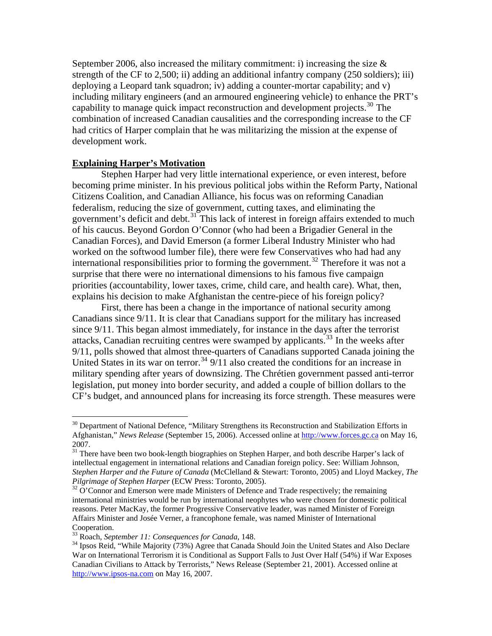September 2006, also increased the military commitment: i) increasing the size  $\&$ strength of the CF to 2,500; ii) adding an additional infantry company (250 soldiers); iii) deploying a Leopard tank squadron; iv) adding a counter-mortar capability; and v) including military engineers (and an armoured engineering vehicle) to enhance the PRT's capability to manage quick impact reconstruction and development projects.<sup>[30](#page-8-0)</sup> The combination of increased Canadian causalities and the corresponding increase to the CF had critics of Harper complain that he was militarizing the mission at the expense of development work.

### **Explaining Harper's Motivation**

Stephen Harper had very little international experience, or even interest, before becoming prime minister. In his previous political jobs within the Reform Party, National Citizens Coalition, and Canadian Alliance, his focus was on reforming Canadian federalism, reducing the size of government, cutting taxes, and eliminating the government's deficit and debt.<sup>[31](#page-8-1)</sup> This lack of interest in foreign affairs extended to much of his caucus. Beyond Gordon O'Connor (who had been a Brigadier General in the Canadian Forces), and David Emerson (a former Liberal Industry Minister who had worked on the softwood lumber file), there were few Conservatives who had had any international responsibilities prior to forming the government.<sup>[32](#page-8-2)</sup> Therefore it was not a surprise that there were no international dimensions to his famous five campaign priorities (accountability, lower taxes, crime, child care, and health care). What, then, explains his decision to make Afghanistan the centre-piece of his foreign policy?

First, there has been a change in the importance of national security among Canadians since 9/11. It is clear that Canadians support for the military has increased since 9/11. This began almost immediately, for instance in the days after the terrorist attacks, Canadian recruiting centres were swamped by applicants.<sup>[33](#page-8-3)</sup> In the weeks after 9/11, polls showed that almost three-quarters of Canadians supported Canada joining the United States in its war on terror.<sup>[34](#page-8-4)</sup> 9/11 also created the conditions for an increase in military spending after years of downsizing. The Chrétien government passed anti-terror legislation, put money into border security, and added a couple of billion dollars to the CF's budget, and announced plans for increasing its force strength. These measures were

<span id="page-8-0"></span><sup>&</sup>lt;sup>30</sup> Department of National Defence, "Military Strengthens its Reconstruction and Stabilization Efforts in Afghanistan," *News Release* (September 15, 2006). Accessed online at [http://www.forces.gc.ca](http://www.forces.gc.ca/) on May 16, 2007.

<span id="page-8-1"></span><sup>&</sup>lt;sup>31</sup> There have been two book-length biographies on Stephen Harper, and both describe Harper's lack of intellectual engagement in international relations and Canadian foreign policy. See: William Johnson, *Stephen Harper and the Future of Canada* (McClelland & Stewart: Toronto, 2005) and Lloyd Mackey, *The Pilgrimage of Stephen Harper* (ECW Press: Toronto, 2005).<br><sup>32</sup> O'Connor and Emerson were made Ministers of Defence and Trade respectively; the remaining

<span id="page-8-2"></span>international ministries would be run by international neophytes who were chosen for domestic political reasons. Peter MacKay, the former Progressive Conservative leader, was named Minister of Foreign Affairs Minister and Josée Verner, a francophone female, was named Minister of International Cooperation.

<span id="page-8-4"></span><span id="page-8-3"></span><sup>&</sup>lt;sup>33</sup> Roach, *September 11: Consequences for Canada*, 148.<br><sup>34</sup> Ipsos Reid, "While Majority (73%) Agree that Canada Should Join the United States and Also Declare War on International Terrorism it is Conditional as Support Falls to Just Over Half (54%) if War Exposes Canadian Civilians to Attack by Terrorists," News Release (September 21, 2001). Accessed online at [http://www.ipsos-na.com](http://www.ipsos-na.com/) on May 16, 2007.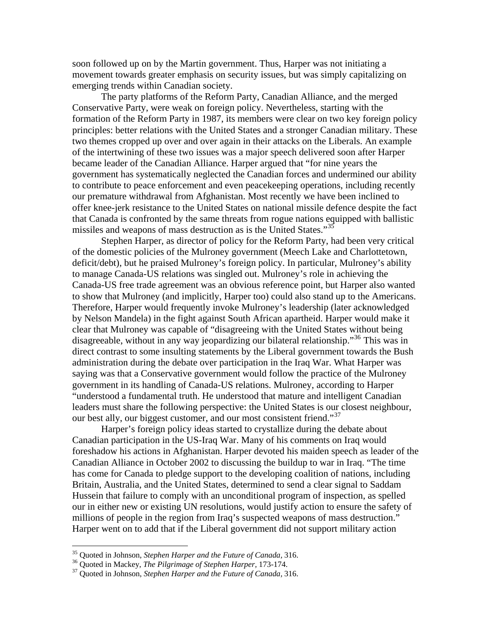soon followed up on by the Martin government. Thus, Harper was not initiating a movement towards greater emphasis on security issues, but was simply capitalizing on emerging trends within Canadian society.

The party platforms of the Reform Party, Canadian Alliance, and the merged Conservative Party, were weak on foreign policy. Nevertheless, starting with the formation of the Reform Party in 1987, its members were clear on two key foreign policy principles: better relations with the United States and a stronger Canadian military. These two themes cropped up over and over again in their attacks on the Liberals. An example of the intertwining of these two issues was a major speech delivered soon after Harper became leader of the Canadian Alliance. Harper argued that "for nine years the government has systematically neglected the Canadian forces and undermined our ability to contribute to peace enforcement and even peacekeeping operations, including recently our premature withdrawal from Afghanistan. Most recently we have been inclined to offer knee-jerk resistance to the United States on national missile defence despite the fact that Canada is confronted by the same threats from rogue nations equipped with ballistic missiles and weapons of mass destruction as is the United States."<sup>[35](#page-9-0)</sup>

Stephen Harper, as director of policy for the Reform Party, had been very critical of the domestic policies of the Mulroney government (Meech Lake and Charlottetown, deficit/debt), but he praised Mulroney's foreign policy. In particular, Mulroney's ability to manage Canada-US relations was singled out. Mulroney's role in achieving the Canada-US free trade agreement was an obvious reference point, but Harper also wanted to show that Mulroney (and implicitly, Harper too) could also stand up to the Americans. Therefore, Harper would frequently invoke Mulroney's leadership (later acknowledged by Nelson Mandela) in the fight against South African apartheid. Harper would make it clear that Mulroney was capable of "disagreeing with the United States without being disagreeable, without in any way jeopardizing our bilateral relationship."<sup>[36](#page-9-1)</sup> This was in direct contrast to some insulting statements by the Liberal government towards the Bush administration during the debate over participation in the Iraq War. What Harper was saying was that a Conservative government would follow the practice of the Mulroney government in its handling of Canada-US relations. Mulroney, according to Harper "understood a fundamental truth. He understood that mature and intelligent Canadian leaders must share the following perspective: the United States is our closest neighbour, our best ally, our biggest customer, and our most consistent friend."<sup>[37](#page-9-2)</sup>

Harper's foreign policy ideas started to crystallize during the debate about Canadian participation in the US-Iraq War. Many of his comments on Iraq would foreshadow his actions in Afghanistan. Harper devoted his maiden speech as leader of the Canadian Alliance in October 2002 to discussing the buildup to war in Iraq. "The time has come for Canada to pledge support to the developing coalition of nations, including Britain, Australia, and the United States, determined to send a clear signal to Saddam Hussein that failure to comply with an unconditional program of inspection, as spelled our in either new or existing UN resolutions, would justify action to ensure the safety of millions of people in the region from Iraq's suspected weapons of mass destruction." Harper went on to add that if the Liberal government did not support military action

<span id="page-9-1"></span><span id="page-9-0"></span><sup>&</sup>lt;sup>35</sup> Quoted in Johnson, *Stephen Harper and the Future of Canada*, 316.<br><sup>36</sup> Quoted in Mackey, *The Pilgrimage of Stephen Harper*, 173-174.<br><sup>37</sup> Quoted in Johnson, *Stephen Harper and the Future of Canada*, 316.

<span id="page-9-2"></span>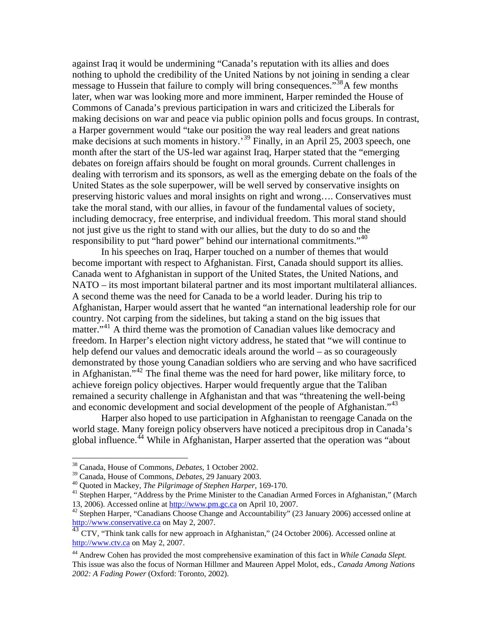against Iraq it would be undermining "Canada's reputation with its allies and does nothing to uphold the credibility of the United Nations by not joining in sending a clear message to Hussein that failure to comply will bring consequences."<sup>[38](#page-10-0)</sup>A few months later, when war was looking more and more imminent, Harper reminded the House of Commons of Canada's previous participation in wars and criticized the Liberals for making decisions on war and peace via public opinion polls and focus groups. In contrast, a Harper government would "take our position the way real leaders and great nations make decisions at such moments in history.<sup>[39](#page-10-1)</sup> Finally, in an April 25, 2003 speech, one month after the start of the US-led war against Iraq, Harper stated that the "emerging debates on foreign affairs should be fought on moral grounds. Current challenges in dealing with terrorism and its sponsors, as well as the emerging debate on the foals of the United States as the sole superpower, will be well served by conservative insights on preserving historic values and moral insights on right and wrong…. Conservatives must take the moral stand, with our allies, in favour of the fundamental values of society, including democracy, free enterprise, and individual freedom. This moral stand should not just give us the right to stand with our allies, but the duty to do so and the responsibility to put "hard power" behind our international commitments."<sup>[40](#page-10-2)</sup>

In his speeches on Iraq, Harper touched on a number of themes that would become important with respect to Afghanistan. First, Canada should support its allies. Canada went to Afghanistan in support of the United States, the United Nations, and NATO – its most important bilateral partner and its most important multilateral alliances. A second theme was the need for Canada to be a world leader. During his trip to Afghanistan, Harper would assert that he wanted "an international leadership role for our country. Not carping from the sidelines, but taking a stand on the big issues that matter."<sup>[41](#page-10-3)</sup> A third theme was the promotion of Canadian values like democracy and freedom. In Harper's election night victory address, he stated that "we will continue to help defend our values and democratic ideals around the world – as so courageously demonstrated by those young Canadian soldiers who are serving and who have sacrificed in Afghanistan."<sup>[42](#page-10-4)</sup> The final theme was the need for hard power, like military force, to achieve foreign policy objectives. Harper would frequently argue that the Taliban remained a security challenge in Afghanistan and that was "threatening the well-being and economic development and social development of the people of Afghanistan."<sup>[43](#page-10-5)</sup>

Harper also hoped to use participation in Afghanistan to reengage Canada on the world stage. Many foreign policy observers have noticed a precipitous drop in Canada's global influence.<sup>[44](#page-10-6)</sup> While in Afghanistan, Harper asserted that the operation was "about

<span id="page-10-0"></span><sup>&</sup>lt;sup>38</sup> Canada, House of Commons, *Debates*, 1 October 2002.<br><sup>39</sup> Canada, House of Commons, *Debates*, 29 January 2003.

<span id="page-10-3"></span><span id="page-10-2"></span><span id="page-10-1"></span><sup>&</sup>lt;sup>40</sup> Quoted in Mackey, *The Pilgrimage of Stephen Harper*, 169-170.<br><sup>41</sup> Stephen Harper, "Address by the Prime Minister to the Canadian Armed Forces in Afghanistan," (March 13, 2006). Accessed online at [http://www.pm.gc.ca](http://www.pm.gc.ca/) on April 10, 2007.<br><sup>42</sup> Stephen Harper, "Canadians Choose Change and Accountability" (23 January 2006) accessed online at

<span id="page-10-4"></span>[http://www.conservative.ca](http://www.conservative.ca/) on May 2, 2007.

<span id="page-10-5"></span><sup>&</sup>lt;sup>43</sup> CTV, "Think tank calls for new approach in Afghanistan," (24 October 2006). Accessed online at [http://www.ctv.ca](http://www.ctv.ca/) on May 2, 2007.

<span id="page-10-6"></span><sup>44</sup> Andrew Cohen has provided the most comprehensive examination of this fact in *While Canada Slept.*  This issue was also the focus of Norman Hillmer and Maureen Appel Molot, eds., *Canada Among Nations 2002: A Fading Power* (Oxford: Toronto, 2002).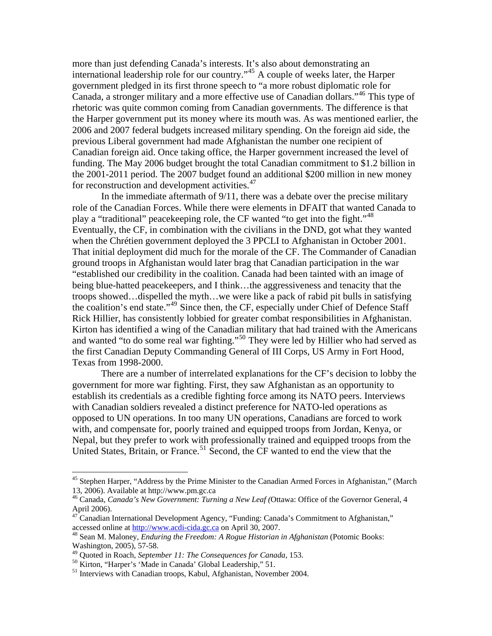more than just defending Canada's interests. It's also about demonstrating an international leadership role for our country."[45](#page-11-0) A couple of weeks later, the Harper government pledged in its first throne speech to "a more robust diplomatic role for Canada, a stronger military and a more effective use of Canadian dollars."<sup>[46](#page-11-1)</sup> This type of rhetoric was quite common coming from Canadian governments. The difference is that the Harper government put its money where its mouth was. As was mentioned earlier, the 2006 and 2007 federal budgets increased military spending. On the foreign aid side, the previous Liberal government had made Afghanistan the number one recipient of Canadian foreign aid. Once taking office, the Harper government increased the level of funding. The May 2006 budget brought the total Canadian commitment to \$1.2 billion in the 2001-2011 period. The 2007 budget found an additional \$200 million in new money for reconstruction and development activities.<sup>[47](#page-11-2)</sup>

In the immediate aftermath of 9/11, there was a debate over the precise military role of the Canadian Forces. While there were elements in DFAIT that wanted Canada to play a "traditional" peacekeeping role, the CF wanted "to get into the fight."<sup>[48](#page-11-3)</sup> Eventually, the CF, in combination with the civilians in the DND, got what they wanted when the Chrétien government deployed the 3 PPCLI to Afghanistan in October 2001. That initial deployment did much for the morale of the CF. The Commander of Canadian ground troops in Afghanistan would later brag that Canadian participation in the war "established our credibility in the coalition. Canada had been tainted with an image of being blue-hatted peacekeepers, and I think…the aggressiveness and tenacity that the troops showed…dispelled the myth…we were like a pack of rabid pit bulls in satisfying the coalition's end state."[49](#page-11-4) Since then, the CF, especially under Chief of Defence Staff Rick Hillier, has consistently lobbied for greater combat responsibilities in Afghanistan. Kirton has identified a wing of the Canadian military that had trained with the Americans and wanted "to do some real war fighting."<sup>[50](#page-11-5)</sup> They were led by Hillier who had served as the first Canadian Deputy Commanding General of III Corps, US Army in Fort Hood, Texas from 1998-2000.

There are a number of interrelated explanations for the CF's decision to lobby the government for more war fighting. First, they saw Afghanistan as an opportunity to establish its credentials as a credible fighting force among its NATO peers. Interviews with Canadian soldiers revealed a distinct preference for NATO-led operations as opposed to UN operations. In too many UN operations, Canadians are forced to work with, and compensate for, poorly trained and equipped troops from Jordan, Kenya, or Nepal, but they prefer to work with professionally trained and equipped troops from the United States, Britain, or France.<sup>[51](#page-11-6)</sup> Second, the CF wanted to end the view that the

<span id="page-11-0"></span><sup>&</sup>lt;sup>45</sup> Stephen Harper, "Address by the Prime Minister to the Canadian Armed Forces in Afghanistan," (March 13, 2006). Available at http://www.pm.gc.ca

<span id="page-11-1"></span><sup>46</sup> Canada, *Canada's New Government: Turning a New Leaf (*Ottawa: Office of the Governor General, 4 April 2006).

<span id="page-11-2"></span><sup>47</sup> Canadian International Development Agency, "Funding: Canada's Commitment to Afghanistan," accessed online at [http://www.acdi-cida.gc.ca](http://www.acdi-cida.gc.ca/) on April 30, 2007.<br><sup>48</sup> Sean M. Maloney, *Enduring the Freedom: A Rogue Historian in Afghanistan* (Potomic Books:

<span id="page-11-3"></span>Washington, 2005), 57-58.

<span id="page-11-5"></span><span id="page-11-4"></span><sup>&</sup>lt;sup>49</sup> Quoted in Roach, *September 11: The Consequences for Canada*, 153.<br><sup>50</sup> Kirton, "Harper's 'Made in Canada' Global Leadership," 51.

<span id="page-11-6"></span><sup>&</sup>lt;sup>51</sup> Interviews with Canadian troops, Kabul, Afghanistan, November 2004.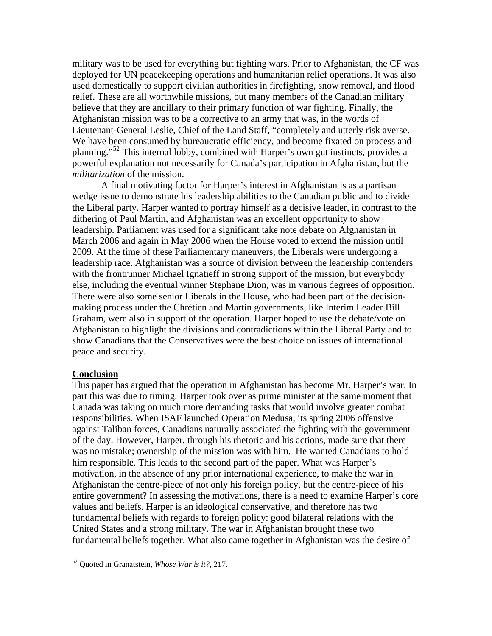military was to be used for everything but fighting wars. Prior to Afghanistan, the CF was deployed for UN peacekeeping operations and humanitarian relief operations. It was also used domestically to support civilian authorities in firefighting, snow removal, and flood relief. These are all worthwhile missions, but many members of the Canadian military believe that they are ancillary to their primary function of war fighting. Finally, the Afghanistan mission was to be a corrective to an army that was, in the words of Lieutenant-General Leslie, Chief of the Land Staff, "completely and utterly risk averse. We have been consumed by bureaucratic efficiency, and become fixated on process and planning."<sup>[52](#page-12-0)</sup> This internal lobby, combined with Harper's own gut instincts, provides a powerful explanation not necessarily for Canada's participation in Afghanistan, but the *militarization* of the mission.

A final motivating factor for Harper's interest in Afghanistan is as a partisan wedge issue to demonstrate his leadership abilities to the Canadian public and to divide the Liberal party. Harper wanted to portray himself as a decisive leader, in contrast to the dithering of Paul Martin, and Afghanistan was an excellent opportunity to show leadership. Parliament was used for a significant take note debate on Afghanistan in March 2006 and again in May 2006 when the House voted to extend the mission until 2009. At the time of these Parliamentary maneuvers, the Liberals were undergoing a leadership race. Afghanistan was a source of division between the leadership contenders with the frontrunner Michael Ignatieff in strong support of the mission, but everybody else, including the eventual winner Stephane Dion, was in various degrees of opposition. There were also some senior Liberals in the House, who had been part of the decisionmaking process under the Chrétien and Martin governments, like Interim Leader Bill Graham, were also in support of the operation. Harper hoped to use the debate/vote on Afghanistan to highlight the divisions and contradictions within the Liberal Party and to show Canadians that the Conservatives were the best choice on issues of international peace and security.

### **Conclusion**

 $\overline{a}$ 

This paper has argued that the operation in Afghanistan has become Mr. Harper's war. In part this was due to timing. Harper took over as prime minister at the same moment that Canada was taking on much more demanding tasks that would involve greater combat responsibilities. When ISAF launched Operation Medusa, its spring 2006 offensive against Taliban forces, Canadians naturally associated the fighting with the government of the day. However, Harper, through his rhetoric and his actions, made sure that there was no mistake; ownership of the mission was with him. He wanted Canadians to hold him responsible. This leads to the second part of the paper. What was Harper's motivation, in the absence of any prior international experience, to make the war in Afghanistan the centre-piece of not only his foreign policy, but the centre-piece of his entire government? In assessing the motivations, there is a need to examine Harper's core values and beliefs. Harper is an ideological conservative, and therefore has two fundamental beliefs with regards to foreign policy: good bilateral relations with the United States and a strong military. The war in Afghanistan brought these two fundamental beliefs together. What also came together in Afghanistan was the desire of

<span id="page-12-0"></span><sup>52</sup> Quoted in Granatstein, *Whose War is it?,* 217.